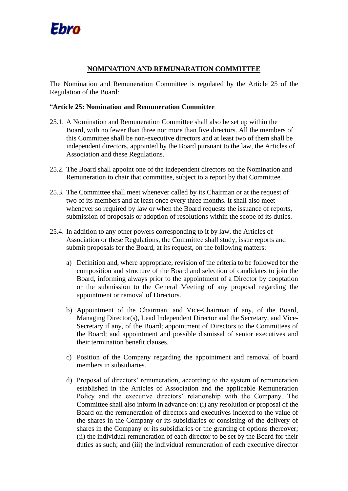

## **NOMINATION AND REMUNARATION COMMITTEE**

The Nomination and Remuneration Committee is regulated by the Article 25 of the Regulation of the Board:

## "**Article 25: Nomination and Remuneration Committee**

- 25.1. A Nomination and Remuneration Committee shall also be set up within the Board, with no fewer than three nor more than five directors. All the members of this Committee shall be non-executive directors and at least two of them shall be independent directors, appointed by the Board pursuant to the law, the Articles of Association and these Regulations.
- 25.2. The Board shall appoint one of the independent directors on the Nomination and Remuneration to chair that committee, subject to a report by that Committee.
- 25.3. The Committee shall meet whenever called by its Chairman or at the request of two of its members and at least once every three months. It shall also meet whenever so required by law or when the Board requests the issuance of reports, submission of proposals or adoption of resolutions within the scope of its duties.
- 25.4. In addition to any other powers corresponding to it by law, the Articles of Association or these Regulations, the Committee shall study, issue reports and submit proposals for the Board, at its request, on the following matters:
	- a) Definition and, where appropriate, revision of the criteria to be followed for the composition and structure of the Board and selection of candidates to join the Board, informing always prior to the appointment of a Director by cooptation or the submission to the General Meeting of any proposal regarding the appointment or removal of Directors.
	- b) Appointment of the Chairman, and Vice-Chairman if any, of the Board, Managing Director(s), Lead Independent Director and the Secretary, and Vice-Secretary if any, of the Board; appointment of Directors to the Committees of the Board; and appointment and possible dismissal of senior executives and their termination benefit clauses.
	- c) Position of the Company regarding the appointment and removal of board members in subsidiaries.
	- d) Proposal of directors' remuneration, according to the system of remuneration established in the Articles of Association and the applicable Remuneration Policy and the executive directors' relationship with the Company. The Committee shall also inform in advance on: (i) any resolution or proposal of the Board on the remuneration of directors and executives indexed to the value of the shares in the Company or its subsidiaries or consisting of the delivery of shares in the Company or its subsidiaries or the granting of options thereover; (ii) the individual remuneration of each director to be set by the Board for their duties as such; and (iii) the individual remuneration of each executive director